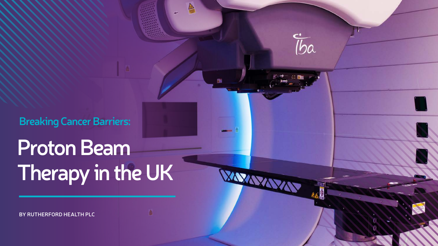**BY Rutherford Health PLC**



# **Proton Beam Therapy in the UK**

 $\triangleright$ 

嗎

**Breaking Cancer Barriers:**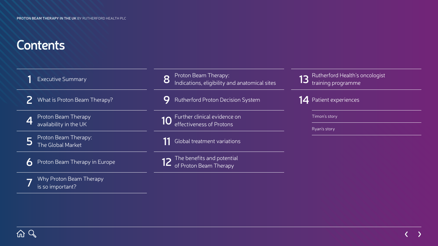## **Contents**

| <b>Executive Summary</b>                         | Proton Beam Therapy:<br>Indications, eligibility and anatomical sites<br>8 | Rutherford Health's oncologist<br>training programme |
|--------------------------------------------------|----------------------------------------------------------------------------|------------------------------------------------------|
| What is Proton Beam Therapy?                     | Rutherford Proton Decision System                                          | 14 Patient experiences                               |
| Proton Beam Therapy<br>availability in the UK    | Further clinical evidence on<br>10<br>effectiveness of Protons             | Timon's story<br>Ryan's story                        |
| $\mid$ Proton Beam Therapy:<br>The Global Market | Global treatment variations                                                |                                                      |
| Proton Beam Therapy in Europe<br>6               | 12 The benefits and potential<br>12 of Proton Beam Therapy                 |                                                      |
| Why Proton Beam Therapy<br>is so important?      |                                                                            |                                                      |

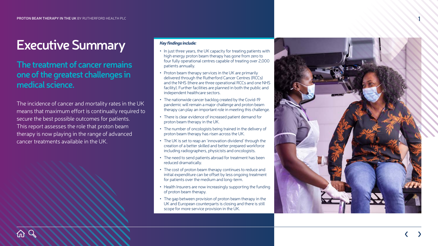## **Executive Summary**

The incidence of cancer and mortality rates in the UK means that maximum effort is continually required to secure the best possible outcomes for patients. This report assesses the role that proton beam therapy is now playing in the range of advanced cancer treatments available in the UK.

**Col** 

## **The treatment of cancer remains one of the greatest challenges in medical science.**

### *Key findings include:*

- **•** In just three years, the UK capacity for treating patients with high energy proton beam therapy has gone from zero to four fully operational centres capable of treating over 2,000 patients annually.
- **•** Proton beam therapy services in the UK are primarily delivered through the Rutherford Cancer Centres (RCCs) and the N HS (there are three operational RCCs and one N HS facility). Further facilities are planned in both the public and independent healthcare sectors.
- **•** The nationwide cancer backlog created by the Covid-19 pandemic will remain a major challenge and proton beam therapy can play an important role in meeting this challenge.
- **•** There is clear evidence of increased patient demand for proton beam therapy in the UK.
- **•** The number of oncologists being trained in the delivery of proton beam therapy has risen across the UK.
- **•** The UK is set to reap an 'innovation dividend' through the creation of a better skilled and better prepared workforce including radiographers, physicists and oncologists.
- **•** The need to send patients abroad for treatment has been reduced dramatically.
- **•** The cost of proton beam therapy continues to reduce and initial expenditure can be offset by less ongoing treatment for patients over the medium and long-term.
- **•** Health Insurers are now increasingly supporting the funding of proton beam therapy.
- The gap between provision of proton beam therapy in the UK and European counterparts is closing and there is still scope for more service provision in the UK.





**1**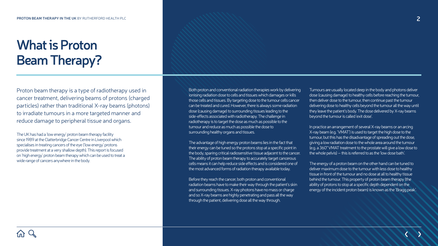The UK has had a 'low energy' proton beam therapy facility since 1989 at the Clatterbridge Cancer Centre in Liverpool which specialises in treating cancers of the eye ('low energy' protons provide treatment at a very shallow depth). This report is focused on 'high energy' proton beam therapy which can be used to treat a wide range of cancers anywhere in the body.

# **What is Proton Beam Therapy?**

Proton beam therapy is a type of radiotherapy used in cancer treatment, delivering beams of protons (charged particles) rather than traditional X-ray beams (photons) to irradiate tumours in a more targeted manner and reduce damage to peripheral tissue and organs.

Both proton and conventional radiation therapies work by delivering ionising radiation dose to cells and tissues which damages or kills those cells and tissues. By targeting dose to the tumour cells cancer can be treated and cured. However, there is always some radiation dose (causing damage) to surrounding tissues leading to the side-effects associated with radiotherapy. The challenge in radiotherapy is to target the dose as much as possible to the tumour and reduce as much as possible the dose to surrounding healthy organs and tissues.

The advantage of high energy proton beams lies in the fact that their energy can be tuned so the protons stop at a specific point in the body, sparing critical radiosensitive tissue adjacent to the cancer. The ability of proton beam therapy to accurately target cancerous cells means it can help reduce side effects and is considered one of the most advanced forms of radiation therapy available today.

Before they reach the cancer, both proton and conventional radiation beams have to make their way through the patient's skin and surrounding tissues. X-ray photons have no mass or charge and so X-ray beams are highly penetrating and pass all the way through the patient, delivering dose all the way through.

Tumours are usually located deep in the body and photons deliver dose (causing damage) to healthy cells before reaching the tumour, then deliver dose to the tumour, then continue past the tumour delivering dose to healthy cells beyond the tumour all the way until they leave the patient's body. The dose delivered by X-ray beams beyond the tumour is called 'exit dose'.

In practice an arrangement of several X-ray beams or an arcing X-ray beam (e.g. 'VMAT') is used to target the high dose to the tumour, but this has the disadvantage of spreading out the dose, giving a low radiation dose to the whole area around the tumour (e.g. a 360° VMAT treatment to the prostate will give a low dose to the whole pelvis) – this is referred to as the 'low dose bath'.

The energy of a proton beam on the other hand can be tuned to deliver maximum dose to the tumour with less dose to healthy tissue in front of the tumour and no dose at all to healthy tissue behind the tumour. This property of proton beam therapy (the ability of protons to stop at a specific depth dependent on the energy of the incident proton beam) is known as the 'Bragg peak'.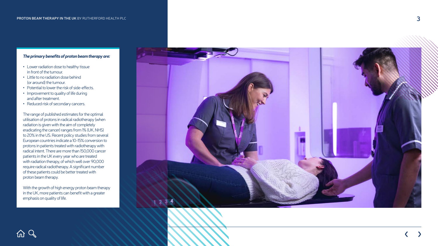### *The primary benefits of proton beam therapy are:*

- **•** Lower radiation dose to healthy tissue in front of the tumour.
- **•** Little to no radiation dose behind (or around) the tumour.
- **•** Potential to lower the risk of side-effects.
- **•** Improvement to quality of life during and after treatment.
- **•** Reduced risk of secondary cancers.

The range of published estimates for the optimal utilisation of protons in radical radiotherapy (when radiation is given with the aim of completely eradicating the cancer) ranges from 1% ( UK, N HS) to 20% in the US. Recent policy studies from several European countries indicate a 10-15% conversion to protons in patients treated with radiotherapy with radical intent. There are more than 150,000 cancer patients in the UK every year who are treated with radiation therapy, of which well over 90,000 require radical radiotherapy. A significant number of these patients could be better treated with proton beam therapy.

With the growth of high energy proton beam therapy in the UK, more patients can benefit with a greater emphasis on quality of life.

 $Q$ 



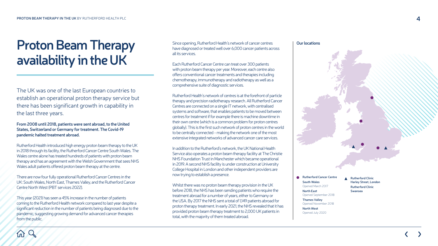#### **Our locations**



The UK was one of the last European countries to establish an operational proton therapy service but there has been significant growth in capability in the last three years.

**From 2008 until 2018, patients were sent abroad, to the United States, Switzerland or Germany for treatment. The Covid-19 pandemic halted treatment abroad.**

Rutherford Health introduced high energy proton beam therapy to the UK in 2018 through its facility, the Rutherford Cancer Centre South Wales. The Wales centre alone has treated hundreds of patients with proton beam therapy and has an agreement with the Welsh Government that sees N HS Wales adult patients offered proton beam therapy at the centre.

## Proton Beam Therapy **availability in the UK**

Since opening, Rutherford Health's network of cancer centres have diagnosed or treated well over 6,000 cancer patients across all its services.<br>Each Rutherford Cancer Centre can treat over 300 patients

There are now four fully operational Rutherford Cancer Centres in the UK: South Wales, North East, Thames Valley, and the Rutherford Cancer Centre North West (PB T services 2022).

This year (2021) has seen a 45% increase in the number of patients coming to the Rutherford Health network compared to last year despite a significant reduction in the number of patients being diagnosed due to the pandemic, suggesting growing demand for advanced cancer therapies from the public.

with proton beam therapy per year. Moreover, each centre also offers conventional cancer treatments and therapies including chemotherapy, immunotherapy and radiotherapy as well as a comprehensive suite of diagnostic services.

Rutherford Health's network of centres is at the forefront of particle therapy and precision radiotherapy research. All Rutherford Cancer Centres are connected on a single I T network, with centralised systems and software, that enables patients to be moved between centres for treatment if for example there is machine downtime in their own centre (which is a common problem for proton centres globally). This is the first such network of proton centres in the world to be centrally connected - making the network one of the most extensive integrated networks of advanced cancer care services.

In addition to the Rutherford's network, the UK National Health Service also operates a proton beam therapy facility at The Christie N HS Foundation Trust in Manchester which became operational in 2019. A second N HS facility is under construction at University College Hospital in London and other independent providers are now trying to establish a presence.

Whilst there was no proton beam therapy provision in the UK before 2018, the N HS has been sending patients who require the treatment abroad for a number of years, either to Germany or the U S A. By 2017 the N HS sent a total of 1,149 patients abroad for proton therapy treatment. In early 2021, the N HS revealed that it has provided proton beam therapy treatment to 2,000 UK patients in total, with the majority of them treated abroad.



**Rutherford Cancer Centre South Wales** Opened March 2017

> **North East** Opened September 2018

> **Thames Valley** Opened November 2018

**North West** Opened July 2020 **Rutherford Clinic Harley Street, London Rutherford Clinic Swansea**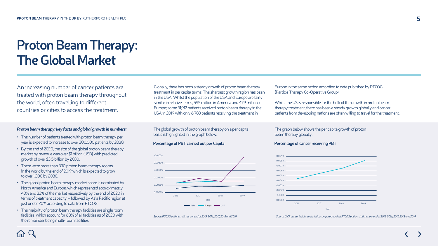## **Proton Beam Therapy: The Global Market**

An increasing number of cancer patients are treated with proton beam therapy throughout the world, often travelling to different countries or cities to access the treatment.

Globally, there has been a steady growth of proton beam therapy treatment in per capita terms. The sharpest growth region has been in the USA. Whilst the population of the USA and Europe are fairly similar in relative terms; 595 million in America and 479 million in Europe; some 31,912 patients received proton beam therapy in the USA in 2019 with only 6,783 patients receiving the treatment in

#### *Proton beam therapy: key facts and global growth in numbers:*

- **•** The number of patients treated with proton beam therapy per year is expected to increase to over 300,000 patients by 2030.
- **•** By the end of 2020, the size of the global proton beam therapy market by revenue was over \$1 billion (USD) with predicted growth of over \$3.5 billion by 2030.
- **•** There were more than 330 proton beam therapy rooms in the world by the end of 2019 which is expected to grow to over 1,200 by 2030.
- **•** The global proton beam therapy market share is dominated by North America and Europe, which represented approximately 40% and 33% of the market respectively by the end of 2020 in terms of treatment capacity – followed by Asia Pacific region at just under 20% according to data from PTCOG.
- **•** The majority of proton beam therapy facilities are single room facilities, which account for 68% of all facilities as of 2020 with the remainder being multi-room facilities.

The global growth of proton beam therapy on a per capita basis is highlighted in the graph below:

#### **Percentage of PBT carried out per Capita**



Europe in the same period according to data published by PTCOG (Particle Therapy Co-Operative Group).

Whilst the US is responsible for the bulk of the growth in proton beam therapy treatment, there has been a steady growth globally and cancer patients from developing nations are often willing to travel for the treatment.

The graph below shows the per capita growth of proton beam therapy globally:

#### **Percentage of cancer receiving PBT**



*Source: PTCOG patient statistics per end of 2015, 2016, 2017, 2018 and 2019 Source: GICR cancer incidence statistics compared against PTCOG patient statistics per end of 2015, 2016, 2017, 2018 and 2019* 

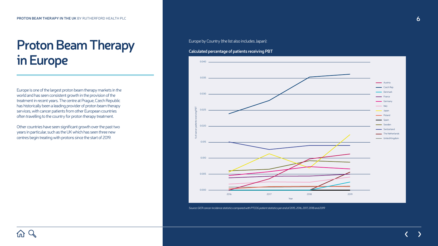## **Proton Beam Therapy in Europe**

Europe is one of the largest proton beam therapy markets in the world and has seen consistent growth in the provision of the treatment in recent years. The centre at Prague, Czech Republic has historically been a leading provider of proton beam therapy services, with cancer patients from other European countries often travelling to the country for proton therapy treatment.

Other countries have seen significant growth over the past two years in particular, such as the UK which has seen three new centres begin treating with protons since the start of 2019.

**Calculated percentage of patients receiving PBT**

Europe by Country (the list also includes Japan):



*Source: GICR cancer incidence statistics compared with PTCOG patient statistics per end of 2015, 2016, 2017, 2018 and 2019*

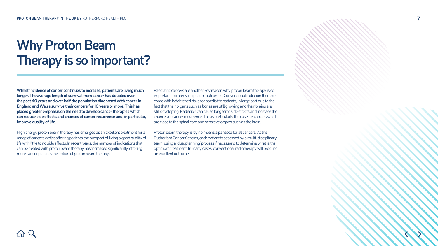# **Why Proton Beam Therapy is so important?**

**Whilst incidence of cancer continues to increase, patients are living much longer. The average length of survival from cancer has doubled over the past 40 years and over half the population diagnosed with cancer in England and Wales survive their cancers for 10 years or more. This has placed greater emphasis on the need to develop cancer therapies which can reduce side effects and chances of cancer recurrence and, in particular, improve quality of life.**

High energy proton beam therapy has emerged as an excellent treatment for a range of cancers whilst offering patients the prospect of living a good quality of life with little to no side effects. In recent years, the number of indications that can be treated with proton beam therapy has increased significantly, offering more cancer patients the option of proton beam therapy.

Paediatric cancers are another key reason why proton beam therapy is so important to improving patient outcomes. Conventional radiation therapies come with heightened risks for paediatric patients, in large part due to the fact that their organs such as bones are still growing and their brains are still developing. Radiation can cause long term side effects and increase the chances of cancer recurrence. This is particularly the case for cancers which are close to the spinal cord and sensitive organs such as the brain.

Proton beam therapy is by no means a panacea for all cancers. At the Rutherford Cancer Centres, each patient is assessed by a multi-disciplinary team, using a 'dual planning' process if necessary, to determine what is the optimum treatment. In many cases, conventional radiotherapy will produce an excellent outcome.

- 
-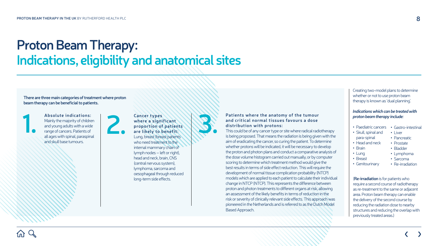## **Proton Beam Therapy: Indications, eligibility and anatomical sites**

**There are three main categories of treatment where proton beam therapy can be beneficial to patients.**



#### **Absolute indications:**  Mainly the majority of children and young adults with a wide range of cancers. Patients of all ages with spinal, paraspinal and skull base tumours. **1. 2. Cancer types**

**where a significant proportion of patients are likely to benefit:** Lung, breast (breast patients who need treatment to the internal mammary chain of lymph nodes – left or right), head and neck, brain, CNS (central nervous system), lymphoma, sarcoma and oesophageal through reduced long-term side effects.



Creating two-model plans to determine whether or not to use proton beam therapy is known as 'dual planning'.

#### *Indications which can be treated with proton beam therapy include:*

- **•** Paediatric cancers
- **•** Skull, spinal and para-spinal
- **•** Head and neck
- **•** Brain
- **•** Lung
- **•** Breast
- **•** Genitourinary
- **•** Gastro-intestinal
- **•** Liver
- **•** Pancreatic
- **•** Prostate
- **•** Bladder
- **•** Lymphoma
- **•** Sarcoma
- **•** Re-irradiation

(**Re-irradiation** is for patients who require a second course of radiotherapy as re-treatment to the same or adjacent area. Proton beam therapy can enable the delivery of the second course by reducing the radiation dose to nearby structures and reducing the overlap with previously treated areas.)

## **Patients where the anatomy of the tumour and critical normal tissues favours a dose**

# **distribution with protons:**

This could be of any cancer type or site where radical radiotherapy is being proposed. That means the radiation is being given with the aim of eradicating the cancer, so curing the patient. To determine whether protons will be indicated, it will be necessary to develop the proton and photon plans and conduct a comparative analysis of the dose volume histogram carried out manually, or by computer scoring to determine which treatment method would give the best results in terms of side effect reduction. This will require the development of normal tissue complication probability (NTCP) models which are applied to each patient to calculate their individual change in NTCP (NTCP). This represents the difference between proton and photon treatments to different organs at risk, allowing an assessment of the likely benefits in terms of reduction in the risk or severity of clinically relevant side effects. This approach was pioneered in the Netherlands and is referred to as the Dutch Model

Based Approach.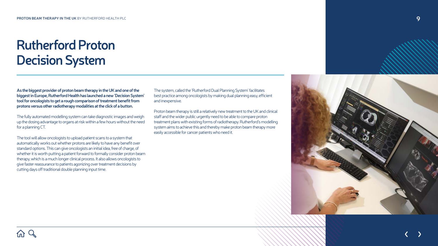# **Rutherford Proton Decision System**

**As the biggest provider of proton beam therapy in the UK and one of the biggest in Europe, Rutherford Health has launched a new 'Decision System' tool for oncologists to get a rough comparison of treatment benefit from protons versus other radiotherapy modalities at the click of a button.**

The fully automated modelling system can take diagnostic images and weigh up the dosing advantage to organs at risk within a few hours without the need for a planning CT.

The tool will allow oncologists to upload patient scans to a system that automatically works out whether protons are likely to have any benefit over standard options. This can give oncologists an initial idea, free of charge, of whether it is worth putting a patient forward to formally consider proton beam therapy, which is a much longer clinical process. It also allows oncologists to give faster reassurance to patients agonizing over treatment decisions by cutting days off traditional double planning input time.

The system, called the 'Rutherford Dual Planning System' facilitates best practice among oncologists by making dual planning easy, efficient and inexpensive.

Proton beam therapy is still a relatively new treatment to the UK and clinical staff and the wider public urgently need to be able to compare proton treatment plans with existing forms of radiotherapy. Rutherford's modelling system aims to achieve this and thereby make proton beam therapy more easily accessible for cancer patients who need it.





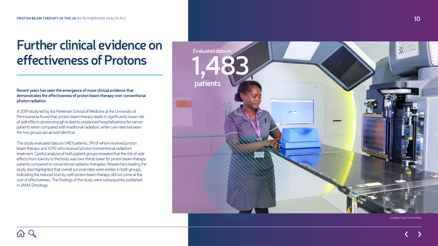**Recent years has seen the emergence of more clinical evidence that demonstrates the effectiveness of proton beam therapy over conventional photon radiation.**

A 2019 study led by the Perelman School of Medicine at the University of Pennsylvania found that, proton beam therapy leads to significantly lower risk of side effects severe enough to lead to unplanned hospitalisations for cancer patients when compared with traditional radiation, while cure rates between the two groups are almost identical. The study evaluated data on 1,483 patients, 391 of whom received proton

## **Further clinical evidence on effectiveness of Protons** 1,483 **Protons**

beam therapy and 1,092 who received photon (conventional radiation) treatment. Careful analysis of both patient groups revealed that the risk of side effects from toxicity to the body was two-thirds lower for proton beam therapy patients compared to conventional radiation therapies. Researchers leading the study also highlighted that overall survival rates were similar in both groups, indicating the reduced toxicity with proton beam therapy did not come at the cost of effectiveness. The findings of the study were subsequently published in J A M A Oncology.



Image by Voop Creative Media



**10**

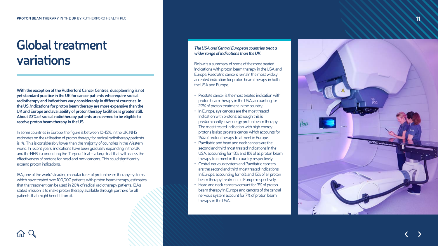## **Global treatment variations**

**With the exception of the Rutherford Cancer Centres, dual planning is not yet standard practice in the UK for cancer patients who require radical radiotherapy and indications vary considerably in different countries. In the US, indications for proton beam therapy are more expansive than the UK and Europe and availability of proton therapy facilities is greater still. About 23% of radical radiotherapy patients are deemed to be eligible to receive proton beam therapy in the US.** 

In some countries in Europe, the figure is between 10-15%. In the UK, N HS estimates on the utilisation of proton therapy for radical radiotherapy patients is 1%. This is considerably lower than the majority of countries in the Western world. In recent years, indications have been gradually expanding in the UK and the N HS is conducting the ' Torpedo' trial – a large trial that will assess the effectiveness of protons for head and neck cancers. This could significantly expand proton indications.

- **•** Prostate cancer is the most treated indication with proton beam therapy in the U S A; accounting for 22% of proton treatment in the country.
- **•** In Europe, eye cancers are the most treated indication with protons; although this is predominantly low energy proton beam therapy. The most treated indication with high energy protons is also prostate cancer which accounts for 16% of proton therapy treatment in Europe.
- **•** Paediatric and head and neck cancers are the second and third most treated indications in the USA, accounting for 18% and 11% of all proton beam therapy treatment in the country respectively.
- **•** Central nervous system and Paediatric cancers are the second and third most treated indications in Europe, accounting for 16% and 15% of all proton beam therapy treatment in Europe respectively.
- **•** Head and neck cancers account for 9% of proton beam therapy in Europe and cancers of the central nervous system account for 7% of proton beam therapy in the USA.



IB A, one of the world's leading manufacturer of proton beam therapy systems which have treated over 100,000 patients with proton beam therapy, estimates that the treatment can be used in 20% of radical radiotherapy patients. IB A's stated mission is to make proton therapy available through partners for all patients that might benefit from it.

#### *The USA and Central European countries treat a wider range of indications than the UK.*

Below is a summary of some of the most treated indications with proton beam therapy in the U S A and Europe. Paediatric cancers remain the most widely accepted indication for proton beam therapy in both the U S A and Europe.



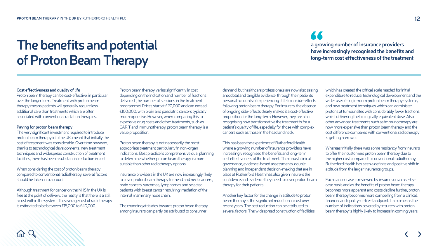66 **a growing number of insurance providers have increasingly recognised the benefits and long-term cost effectiveness of the treatment**

#### **Cost effectiveness and quality of life**

Proton beam therapy can be cost-effective, in particular over the longer term. Treatment with proton beam therapy means patients will generally require less additional care than treatments which are often associated with conventional radiation therapies.

#### **Paying for proton beam therapy**

The very significant investment required to introduce proton beam therapy into the UK, meant that initially the cost of treatment was considerable. Over time however, thanks to technological developments, new treatment techniques and widespread construction of treatment facilities, there has been a substantial reduction in cost.

When considering the cost of proton beam therapy compared to conventional radiotherapy, several factors should be taken into account.

Although treatment for cancer on the NHS in the UK is free at the point of delivery, the reality is that there is a still a cost within the system. The average cost of radiotherapy is estimated to be between £15,000 to £40,000.

Proton beam therapy varies significantly in cost depending on the indication and number of fractions delivered (the number of sessions in the treatment programme). Prices start at £20,000 and can exceed £100,000, with brain and paediatric cancers typically more expensive. However, when comparing this to expensive drug costs and other treatments, such as CAR T and immunotherapy, proton beam therapy is a value proposition.

Proton beam therapy is not necessarily the most appropriate treatment particularly in non-organ indications. Best practice is comprehensive dual planning to determine whether proton beam therapy is more suitable than other radiotherapy options.

Insurance providers in the UK are now increasingly likely to cover proton beam therapy for head and neck cancers, brain cancers, sarcomas, lymphomas and selected patients with breast cancer requiring irradiation of the internal mammary node chain.

The changing attitudes towards proton beam therapy among insurers can partly be attributed to consumer

demand, but healthcare professionals are now also seeing anecdotal and tangible evidence, through their patients' personal accounts of experiencing little to no side-effects following proton beam therapy. For insurers, the absence of ongoing side-effects clearly makes it a cost-effective proposition for the long-term. However, they are also recognising how transformative the treatment is for a patient's quality of life, especially for those with complex cancers such as those in the head and neck.

This has been the experience of Rutherford Health where a growing number of insurance providers have increasingly recognised the benefits and long-term cost effectiveness of the treatment. The robust clinical governance, evidence-based assessments, double planning and independent decision-making that are in place at Rutherford Health has also given insurers the confidence and evidence they need to cover proton beam therapy for their patients.

Another key factor for the change in attitude to proton beam therapy is the significant reduction in cost over recent years. The cost reduction can be attributed to several factors: The widespread construction of facilities

which has created the critical scale needed for initial expenditure to reduce; technological development and the wider use of single-room proton beam therapy systems; and new treatment techniques which can administer protons at tumour sites with considerably fewer fractions whilst delivering the biologically equivalent dose. Also, other advanced treatments such as immunotherapy are now more expensive than proton beam therapy and the cost difference compared with conventional radiotherapy is getting narrower.

Whereas initially there was some hesitancy from insurers to offer their customers proton beam therapy due to the higher cost compared to conventional radiotherapy, Rutherford Health has seen a definite and positive shift in attitude from the larger insurance groups.

Each cancer case is reviewed by insurers on a case-bycase basis and as the benefits of proton beam therapy becomes more apparent and costs decline further, proton beam therapy becomes more compelling from a clinical, financial and quality-of-life standpoint. It also means the number of indications covered by insurers with proton beam therapy is highly likely to increase in coming years.

# **The benefits and potential of Proton Beam Therapy**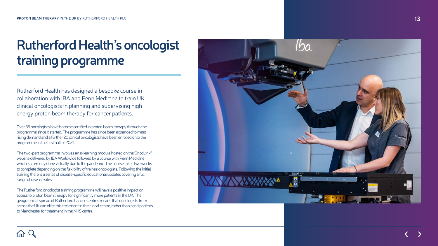Rutherford Health has designed a bespoke course in collaboration with IB A and Penn Medicine to train UK clinical oncologists in planning and supervising high energy proton beam therapy for cancer patients. Over 35 oncologists have become certified in proton beam therapy through the

programme since it started. The programme has since been expanded to meet rising demand and a further 20 clinical oncologists have been enrolled onto the

programme in the first half of 2021.<br>The two-part programme involves an e-learning module hosted on the OncoLink® website delivered by IB A Worldwide followed by a course with Penn Medicine which is currently done virtually due to the pandemic. The course takes two weeks to complete depending on the flexibility of trainee oncologists. Following the initial training there is a series of disease-specific educational updates covering a full range of disease sites.

The Rutherford oncologist training programme will have a positive impact on access to proton beam therapy for significantly more patients in the UK. The geographical spread of Rutherford Cancer Centres means that oncologists from across the UK can offer this treatment in their local centre, rather than send patients to Manchester for treatment in the N HS centre.



# **Rutherford Health's oncologist training programme**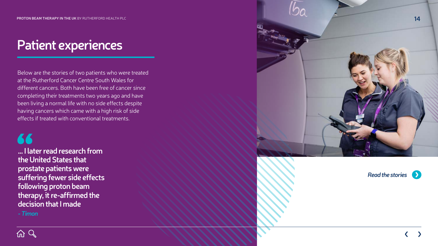## *Read the stories*





**... I later read research from the United States that prostate patients were suffering fewer side effects following proton beam therapy, it re-affirmed the decision that I made**

*- Timon*

## **Patient experiences Patient experiences**

Below are the stories of two patients who were treated at the Rutherford Cancer Centre South Wales for different cancers. Both have been free of cancer since completing their treatments two years ago and have been living a normal life with no side effects despite having cancers which came with a high risk of side effects if treated with conventional treatments.

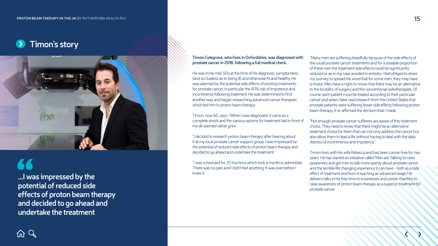## **Timon's story**



#### **Timon Colegrove, who lives in Oxfordshire, was diagnosed with prostate cancer in 2018, following a full medical check.**

He was in his mid-50s at the time of his diagnosis, symptomless (and so clueless as to being ill) and otherwise fit and healthy. He was alarmed by the potential side effects of existing treatments for prostate cancer, in particular the 40% risk of impotence and incontinence following treatment. He was determined to find another way and began researching advanced cancer therapies which led him to proton beam therapy.

Timon, now 60, says: "When I was diagnosed, it came as a complete shock and the various options for treatment laid in front of me all seemed rather grim.

"I decided to research proton beam therapy after hearing about it at my local prostate cancer support group. I was impressed by the potential of reduced side effects of proton beam therapy and decided to go ahead and undertake the treatment.

"I was scheduled for 20 fractions which took a month to administer. There was no pain and I didn't feel anything. It was over before I knew it.



"Many men are suffering dreadfully because of the side effects of the usual prostate cancer treatments and for a sizeable proportion of these men the treatment side effects could be significantly reduced or as in my case avoided in entirety. I feel obliged to share my journey to spread the word that for some men, they may have a choice. Men have a right-to-know that there may be an alternative to the brutality of surgery and the conventional radiotherapies. Of course, each patient must be treated according to their particular cancer and when I later read research from the United States that prostate patients were suffering fewer side effects following proton beam therapy, it re-affirmed the decision that I made.

"Not enough prostate cancer sufferers are aware of this treatment choice. They need to know that there might be an alternative treatment choice for them that can not only address the cancer but also allow them to lead a life without having to deal with the daily distress of incontinence and impotence."

Timon lives with his wife Rebecca and has been cancer-free for two years. He has started an initiative called 'Men are Talking' to raise awareness and get men to talk more openly about prostate cancer and the terrible life changing experience it can have - both as a side effect of treatment and from it reaching an advanced stage. He delivers talks in his free time to businesses and cancer charities to raise awareness of proton beam therapy as a superior treatment for prostate cancer.

**...I was impressed by the potential of reduced side effects of proton beam therapy and decided to go ahead and undertake the treatment**